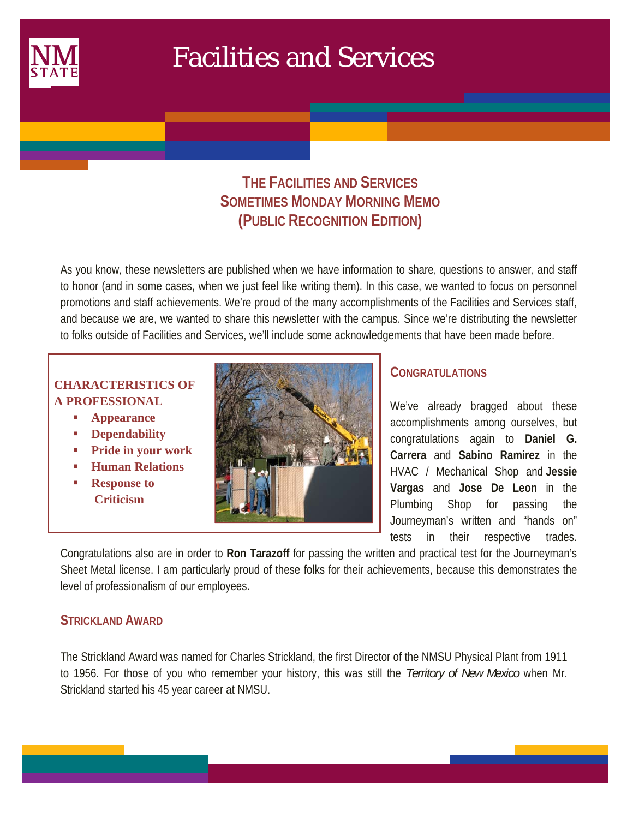

 $\mathcal{L}(\mathcal{L})$ 

# Facilities and Services

# **THE FACILITIES AND SERVICES SOMETIMES MONDAY MORNING MEMO (PUBLIC RECOGNITION EDITION)**

As you know, these newsletters are published when we have information to share, questions to answer, and staff to honor (and in some cases, when we just feel like writing them). In this case, we wanted to focus on personnel promotions and staff achievements. We're proud of the many accomplishments of the Facilities and Services staff, and because we are, we wanted to share this newsletter with the campus. Since we're distributing the newsletter to folks outside of Facilities and Services, we'll include some acknowledgements that have been made before.

# **CHARACTERISTICS OF A PROFESSIONAL**

- **Appearance**
- **Dependability**
- **Pride in your work**
- **Human Relations**
- **Response to Criticism**



# **CONGRATULATIONS**

We've already bragged about these accomplishments among ourselves, but congratulations again to **Daniel G. Carrera** and **Sabino Ramirez** in the HVAC / Mechanical Shop and **Jessie Vargas** and **Jose De Leon** in the Plumbing Shop for passing the Journeyman's written and "hands on" tests in their respective trades.

Congratulations also are in order to **Ron Tarazoff** for passing the written and practical test for the Journeyman's Sheet Metal license. I am particularly proud of these folks for their achievements, because this demonstrates the level of professionalism of our employees.

# **STRICKLAND AWARD**

The Strickland Award was named for Charles Strickland, the first Director of the NMSU Physical Plant from 1911 to 1956. For those of you who remember your history, this was still the *Territory of New Mexico* when Mr. Strickland started his 45 year career at NMSU.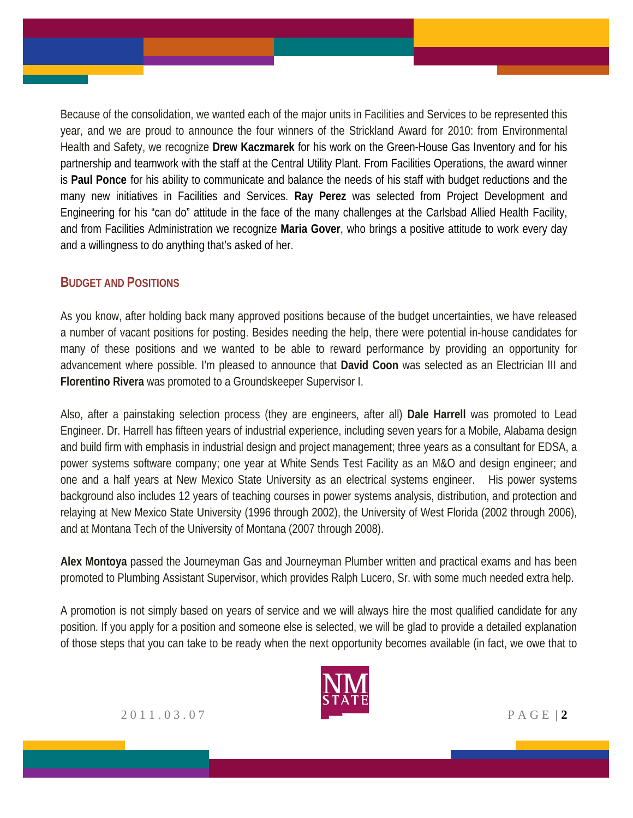Because of the consolidation, we wanted each of the major units in Facilities and Services to be represented this year, and we are proud to announce the four winners of the Strickland Award for 2010: from Environmental Health and Safety, we recognize **Drew Kaczmarek** for his work on the Green-House Gas Inventory and for his partnership and teamwork with the staff at the Central Utility Plant. From Facilities Operations, the award winner is **Paul Ponce** for his ability to communicate and balance the needs of his staff with budget reductions and the many new initiatives in Facilities and Services. **Ray Perez** was selected from Project Development and Engineering for his "can do" attitude in the face of the many challenges at the Carlsbad Allied Health Facility, and from Facilities Administration we recognize **Maria Gover**, who brings a positive attitude to work every day and a willingness to do anything that's asked of her.

#### **BUDGET AND POSITIONS**

As you know, after holding back many approved positions because of the budget uncertainties, we have released a number of vacant positions for posting. Besides needing the help, there were potential in-house candidates for many of these positions and we wanted to be able to reward performance by providing an opportunity for advancement where possible. I'm pleased to announce that **David Coon** was selected as an Electrician III and **Florentino Rivera** was promoted to a Groundskeeper Supervisor I.

Also, after a painstaking selection process (they are engineers, after all) **Dale Harrell** was promoted to Lead Engineer. Dr. Harrell has fifteen years of industrial experience, including seven years for a Mobile, Alabama design and build firm with emphasis in industrial design and project management; three years as a consultant for EDSA, a power systems software company; one year at White Sends Test Facility as an M&O and design engineer; and one and a half years at New Mexico State University as an electrical systems engineer. His power systems background also includes 12 years of teaching courses in power systems analysis, distribution, and protection and relaying at New Mexico State University (1996 through 2002), the University of West Florida (2002 through 2006), and at Montana Tech of the University of Montana (2007 through 2008).

**Alex Montoya** passed the Journeyman Gas and Journeyman Plumber written and practical exams and has been promoted to Plumbing Assistant Supervisor, which provides Ralph Lucero, Sr. with some much needed extra help.

A promotion is not simply based on years of service and we will always hire the most qualified candidate for any position. If you apply for a position and someone else is selected, we will be glad to provide a detailed explanation of those steps that you can take to be ready when the next opportunity becomes available (in fact, we owe that to



2011.03.07 PAGE | **2**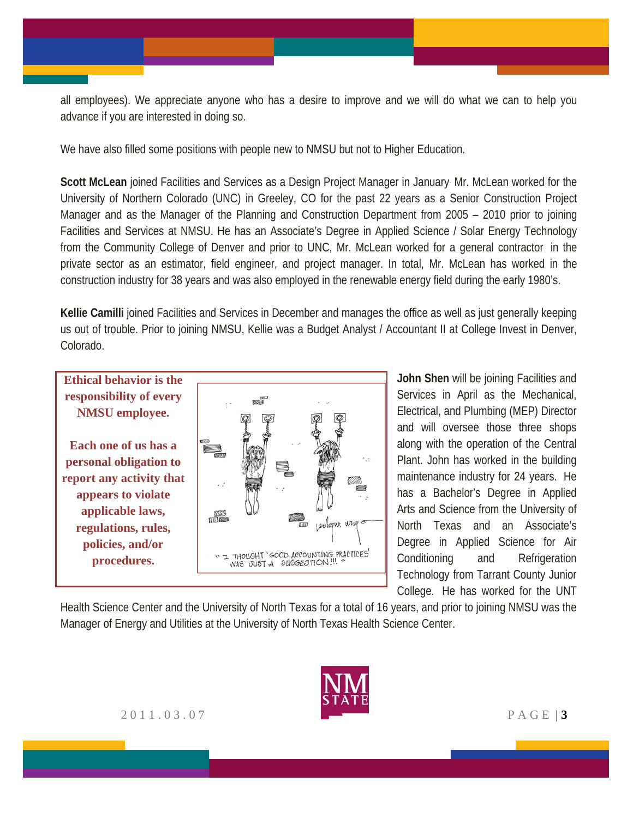all employees). We appreciate anyone who has a desire to improve and we will do what we can to help you advance if you are interested in doing so.

We have also filled some positions with people new to NMSU but not to Higher Education.

**Scott McLean** joined Facilities and Services as a Design Project Manager in January. Mr. McLean worked for the University of Northern Colorado (UNC) in Greeley, CO for the past 22 years as a Senior Construction Project Manager and as the Manager of the Planning and Construction Department from 2005 – 2010 prior to joining Facilities and Services at NMSU. He has an Associate's Degree in Applied Science / Solar Energy Technology from the Community College of Denver and prior to UNC, Mr. McLean worked for a general contractor in the private sector as an estimator, field engineer, and project manager. In total, Mr. McLean has worked in the construction industry for 38 years and was also employed in the renewable energy field during the early 1980's.

**Kellie Camilli** joined Facilities and Services in December and manages the office as well as just generally keeping us out of trouble. Prior to joining NMSU, Kellie was a Budget Analyst / Accountant II at College Invest in Denver, Colorado.



**John Shen** will be joining Facilities and Services in April as the Mechanical, Electrical, and Plumbing (MEP) Director and will oversee those three shops along with the operation of the Central Plant. John has worked in the building maintenance industry for 24 years. He has a Bachelor's Degree in Applied Arts and Science from the University of North Texas and an Associate's Degree in Applied Science for Air Conditioning and Refrigeration Technology from Tarrant County Junior College. He has worked for the UNT

Health Science Center and the University of North Texas for a total of 16 years, and prior to joining NMSU was the Manager of Energy and Utilities at the University of North Texas Health Science Center.

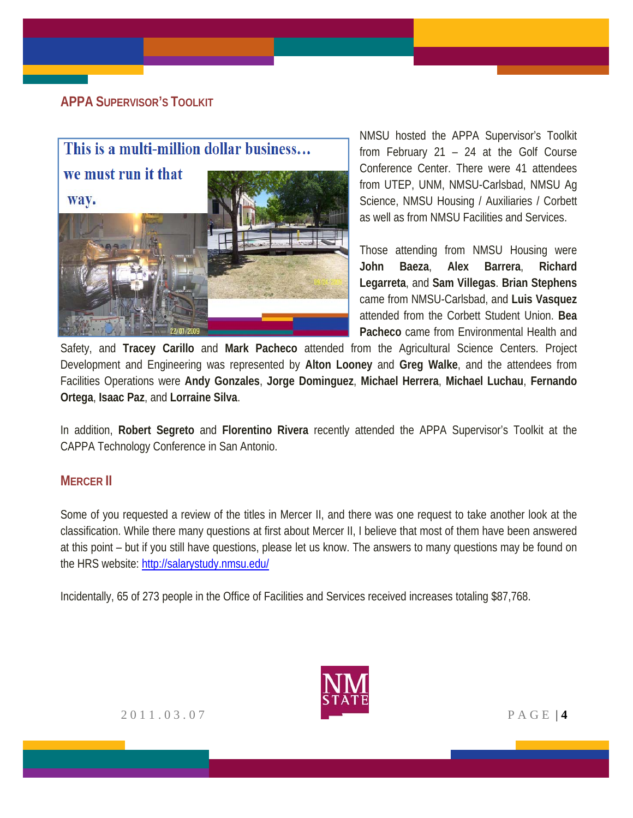# **APPA SUPERVISOR'S TOOLKIT**



NMSU hosted the APPA Supervisor's Toolkit from February 21 – 24 at the Golf Course Conference Center. There were 41 attendees from UTEP, UNM, NMSU-Carlsbad, NMSU Ag Science, NMSU Housing / Auxiliaries / Corbett as well as from NMSU Facilities and Services.

Those attending from NMSU Housing were **John Baeza**, **Alex Barrera**, **Richard Legarreta**, and **Sam Villegas**. **Brian Stephens** came from NMSU-Carlsbad, and **Luis Vasquez** attended from the Corbett Student Union. **Bea Pacheco** came from Environmental Health and

Safety, and **Tracey Carillo** and **Mark Pacheco** attended from the Agricultural Science Centers. Project Development and Engineering was represented by **Alton Looney** and **Greg Walke**, and the attendees from Facilities Operations were **Andy Gonzales**, **Jorge Dominguez**, **Michael Herrera**, **Michael Luchau**, **Fernando Ortega**, **Isaac Paz**, and **Lorraine Silva**.

In addition, **Robert Segreto** and **Florentino Rivera** recently attended the APPA Supervisor's Toolkit at the CAPPA Technology Conference in San Antonio.

# **MERCER II**

Some of you requested a review of the titles in Mercer II, and there was one request to take another look at the classification. While there many questions at first about Mercer II, I believe that most of them have been answered at this point – but if you still have questions, please let us know. The answers to many questions may be found on the HRS website: http://salarystudy.nmsu.edu/

Incidentally, 65 of 273 people in the Office of Facilities and Services received increases totaling \$87,768.

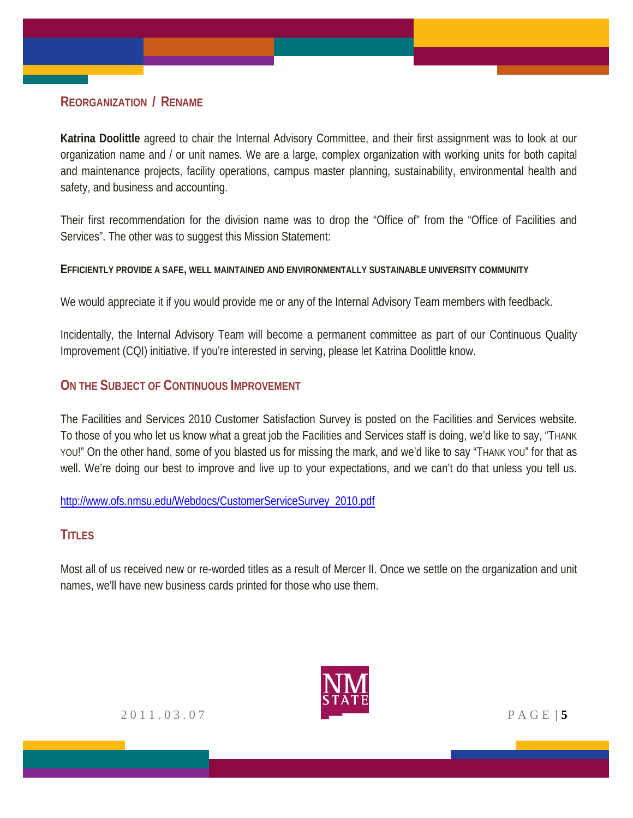# **REORGANIZATION / RENAME**

**Katrina Doolittle** agreed to chair the Internal Advisory Committee, and their first assignment was to look at our organization name and / or unit names. We are a large, complex organization with working units for both capital and maintenance projects, facility operations, campus master planning, sustainability, environmental health and safety, and business and accounting.

Their first recommendation for the division name was to drop the "Office of" from the "Office of Facilities and Services". The other was to suggest this Mission Statement:

#### **EFFICIENTLY PROVIDE A SAFE, WELL MAINTAINED AND ENVIRONMENTALLY SUSTAINABLE UNIVERSITY COMMUNITY**

We would appreciate it if you would provide me or any of the Internal Advisory Team members with feedback.

Incidentally, the Internal Advisory Team will become a permanent committee as part of our Continuous Quality Improvement (CQI) initiative. If you're interested in serving, please let Katrina Doolittle know.

### **ON THE SUBJECT OF CONTINUOUS IMPROVEMENT**

The Facilities and Services 2010 Customer Satisfaction Survey is posted on the Facilities and Services website. To those of you who let us know what a great job the Facilities and Services staff is doing, we'd like to say, "THANK YOU!" On the other hand, some of you blasted us for missing the mark, and we'd like to say "THANK YOU" for that as well. We're doing our best to improve and live up to your expectations, and we can't do that unless you tell us.

http://www.ofs.nmsu.edu/Webdocs/CustomerServiceSurvey\_2010.pdf

### **TITLES**

Most all of us received new or re-worded titles as a result of Mercer II. Once we settle on the organization and unit names, we'll have new business cards printed for those who use them.

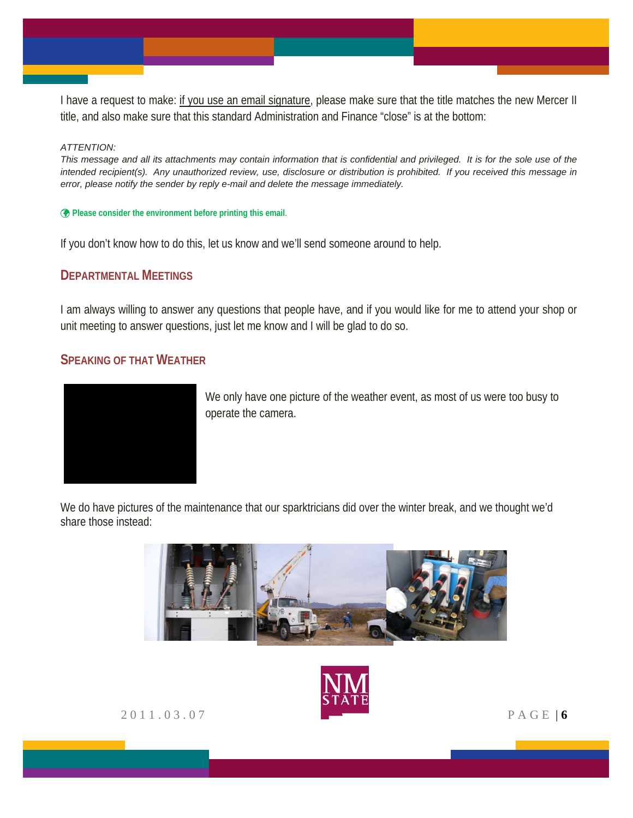I have a request to make: if you use an email signature, please make sure that the title matches the new Mercer II title, and also make sure that this standard Administration and Finance "close" is at the bottom:

#### *ATTENTION:*

*This message and all its attachments may contain information that is confidential and privileged. It is for the sole use of the intended recipient(s). Any unauthorized review, use, disclosure or distribution is prohibited. If you received this message in error, please notify the sender by reply e-mail and delete the message immediately.*

**Please consider the environment before printing this email**.

If you don't know how to do this, let us know and we'll send someone around to help.

#### **DEPARTMENTAL MEETINGS**

I am always willing to answer any questions that people have, and if you would like for me to attend your shop or unit meeting to answer questions, just let me know and I will be glad to do so.

#### **SPEAKING OF THAT WEATHER**



We only have one picture of the weather event, as most of us were too busy to operate the camera.

We do have pictures of the maintenance that our sparktricians did over the winter break, and we thought we'd share those instead:





2011.03.07 PAGE | **6**